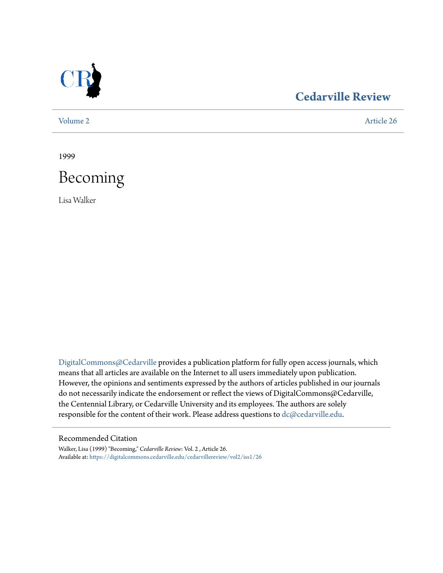

## **[Cedarville Review](https://digitalcommons.cedarville.edu/cedarvillereview?utm_source=digitalcommons.cedarville.edu%2Fcedarvillereview%2Fvol2%2Fiss1%2F26&utm_medium=PDF&utm_campaign=PDFCoverPages)**

[Volume 2](https://digitalcommons.cedarville.edu/cedarvillereview/vol2?utm_source=digitalcommons.cedarville.edu%2Fcedarvillereview%2Fvol2%2Fiss1%2F26&utm_medium=PDF&utm_campaign=PDFCoverPages) [Article 26](https://digitalcommons.cedarville.edu/cedarvillereview/vol2/iss1/26?utm_source=digitalcommons.cedarville.edu%2Fcedarvillereview%2Fvol2%2Fiss1%2F26&utm_medium=PDF&utm_campaign=PDFCoverPages)

1999



Lisa Walker

[DigitalCommons@Cedarville](http://digitalcommons.cedarville.edu) provides a publication platform for fully open access journals, which means that all articles are available on the Internet to all users immediately upon publication. However, the opinions and sentiments expressed by the authors of articles published in our journals do not necessarily indicate the endorsement or reflect the views of DigitalCommons@Cedarville, the Centennial Library, or Cedarville University and its employees. The authors are solely responsible for the content of their work. Please address questions to [dc@cedarville.edu](mailto:dc@cedarville.edu).

#### Recommended Citation

Walker, Lisa (1999) "Becoming," *Cedarville Review*: Vol. 2 , Article 26. Available at: [https://digitalcommons.cedarville.edu/cedarvillereview/vol2/iss1/26](https://digitalcommons.cedarville.edu/cedarvillereview/vol2/iss1/26?utm_source=digitalcommons.cedarville.edu%2Fcedarvillereview%2Fvol2%2Fiss1%2F26&utm_medium=PDF&utm_campaign=PDFCoverPages)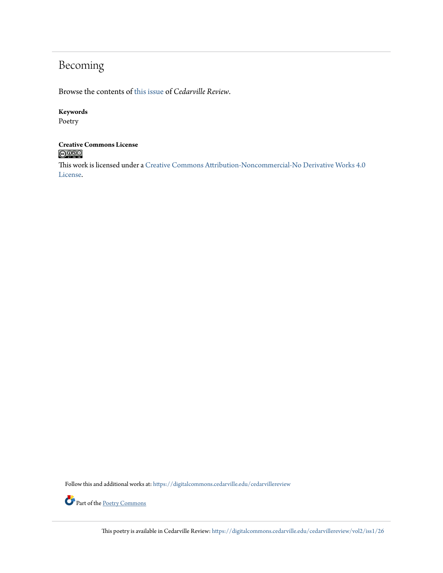# Becoming

Browse the contents of [this issue](https://digitalcommons.cedarville.edu/cedarvillereview/vol2/iss1) of *Cedarville Review*.

#### **Keywords**

Poetry

#### **Creative Commons License**  $\bigcirc$  000

This work is licensed under a [Creative Commons Attribution-Noncommercial-No Derivative Works 4.0](http://creativecommons.org/licenses/by-nc-nd/4.0/) [License.](http://creativecommons.org/licenses/by-nc-nd/4.0/)

Follow this and additional works at: [https://digitalcommons.cedarville.edu/cedarvillereview](https://digitalcommons.cedarville.edu/cedarvillereview?utm_source=digitalcommons.cedarville.edu%2Fcedarvillereview%2Fvol2%2Fiss1%2F26&utm_medium=PDF&utm_campaign=PDFCoverPages)



This poetry is available in Cedarville Review: [https://digitalcommons.cedarville.edu/cedarvillereview/vol2/iss1/26](https://digitalcommons.cedarville.edu/cedarvillereview/vol2/iss1/26?utm_source=digitalcommons.cedarville.edu%2Fcedarvillereview%2Fvol2%2Fiss1%2F26&utm_medium=PDF&utm_campaign=PDFCoverPages)